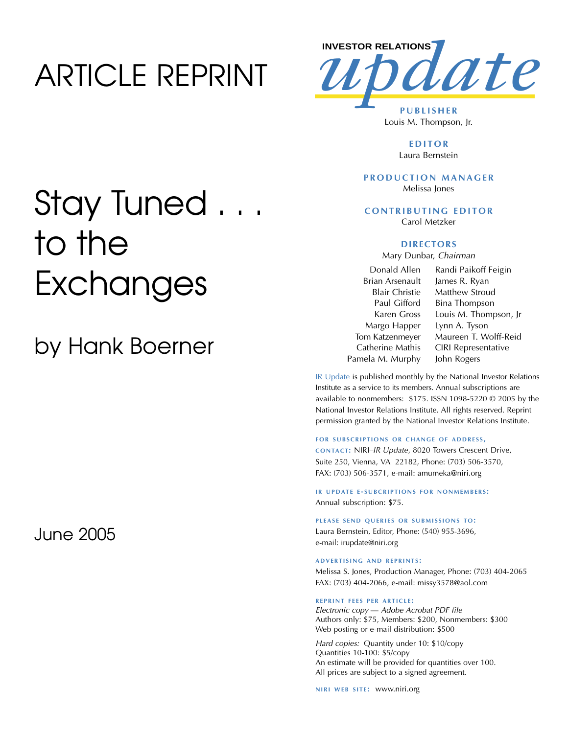## ARTICLE REPRINT



Louis M. Thompson, Jr.

**EDITOR** Laura Bernstein

#### **PRODUCTION MANAGER** Melissa Jones

**CONTRIBUTING EDITOR** Carol Metzker

#### **DIRECTORS**

Mary Dunbar, *Chairman*

Donald Allen Brian Arsenault Blair Christie Paul Gifford Karen Gross Margo Happer Tom Katzenmeyer Catherine Mathis Pamela M. Murphy

Randi Paikoff Feigin James R. Ryan Matthew Stroud Bina Thompson Louis M. Thompson, Jr Lynn A. Tyson Maureen T. Wolff-Reid CIRI Representative John Rogers

IR Update is published monthly by the National Investor Relations Institute as a service to its members. Annual subscriptions are available to nonmembers: \$175. ISSN 1098-5220 © 2005 by the National Investor Relations Institute. All rights reserved. Reprint permission granted by the National Investor Relations Institute.

#### FOR SUBSCRIPTIONS OR CHANGE OF ADDRESS,

**CONTACT:** NIRI–*IR Update*, 8020 Towers Crescent Drive, Suite 250, Vienna, VA 22182, Phone: (703) 506-3570, FAX: (703) 506-3571, e-mail: amumeka@niri.org

**IR UPDATE E-SUBCRIPTIONS FOR NONMEMBERS:** Annual subscription: \$75.

PLEASE SEND QUERIES OR SUBMISSIONS TO: Laura Bernstein, Editor, Phone: (540) 955-3696, e-mail: irupdate@niri.org

#### **ADVERTISING AND REPRINTS :**

Melissa S. Jones, Production Manager, Phone: (703) 404-2065 FAX: (703) 404-2066, e-mail: missy3578@aol.com

#### **REPRINT FEES PER ARTICLE :**

*Electronic copy* **—** *Adobe Acrobat PDF file*  Authors only: \$75, Members: \$200, Nonmembers: \$300 Web posting or e-mail distribution: \$500

*Hard copies:* Quantity under 10: \$10/copy Quantities 10-100: \$5/copy An estimate will be provided for quantities over 100. All prices are subject to a signed agreement.

**NIRI WEB SITE: WWW.niri.org** 

# Stay Tuned . to the **Exchanges**

### by Hank Boerner

June 2005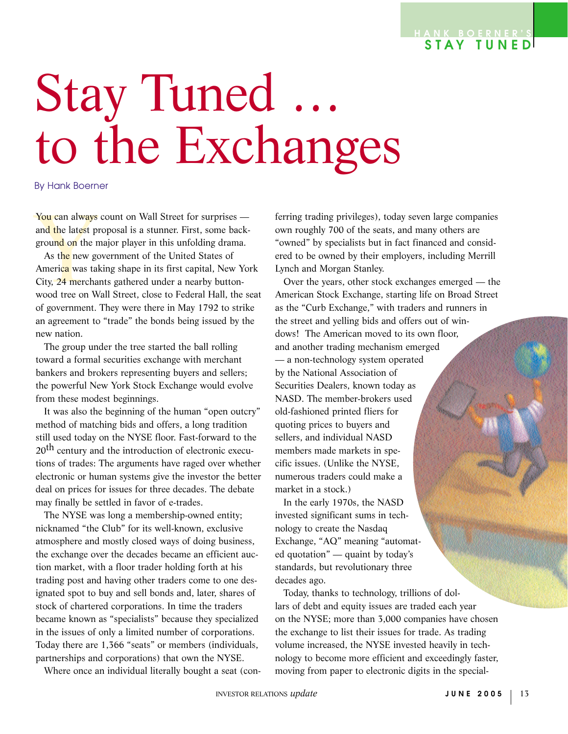# Stay Tuned … to the Exchanges

#### By Hank Boerner

You can always count on Wall Street for surprises and the latest proposal is a stunner. First, some background on the major player in this unfolding drama.

You can always<br>and the latest provided in the n<br>state and the new go<br>America was tal<br>City, 24 mercha<br>wood tree on W As the new government of the United States of America was taking shape in its first capital, New York City, 24 merchants gathered under a nearby buttonwood tree on Wall Street, close to Federal Hall, the seat of government. They were there in May 1792 to strike an agreement to "trade" the bonds being issued by the new nation.

The group under the tree started the ball rolling toward a formal securities exchange with merchant bankers and brokers representing buyers and sellers; the powerful New York Stock Exchange would evolve from these modest beginnings.

It was also the beginning of the human "open outcry" method of matching bids and offers, a long tradition still used today on the NYSE floor. Fast-forward to the 20<sup>th</sup> century and the introduction of electronic executions of trades: The arguments have raged over whether electronic or human systems give the investor the better deal on prices for issues for three decades. The debate may finally be settled in favor of e-trades.

The NYSE was long a membership-owned entity; nicknamed "the Club" for its well-known, exclusive atmosphere and mostly closed ways of doing business, the exchange over the decades became an efficient auction market, with a floor trader holding forth at his trading post and having other traders come to one designated spot to buy and sell bonds and, later, shares of stock of chartered corporations. In time the traders became known as "specialists" because they specialized in the issues of only a limited number of corporations. Today there are 1,366 "seats" or members (individuals, partnerships and corporations) that own the NYSE.

Where once an individual literally bought a seat (con-

ferring trading privileges), today seven large companies own roughly 700 of the seats, and many others are "owned" by specialists but in fact financed and considered to be owned by their employers, including Merrill Lynch and Morgan Stanley.

Over the years, other stock exchanges emerged — the American Stock Exchange, starting life on Broad Street as the "Curb Exchange," with traders and runners in the street and yelling bids and offers out of windows! The American moved to its own floor, and another trading mechanism emerged — a non-technology system operated by the National Association of Securities Dealers, known today as NASD. The member-brokers used old-fashioned printed fliers for quoting prices to buyers and sellers, and individual NASD members made markets in specific issues. (Unlike the NYSE, numerous traders could make a market in a stock.)

In the early 1970s, the NASD invested significant sums in technology to create the Nasdaq Exchange, "AQ" meaning "automated quotation" — quaint by today's standards, but revolutionary three decades ago.

Today, thanks to technology, trillions of dollars of debt and equity issues are traded each year on the NYSE; more than 3,000 companies have chosen the exchange to list their issues for trade. As trading volume increased, the NYSE invested heavily in technology to become more efficient and exceedingly faster, moving from paper to electronic digits in the special-